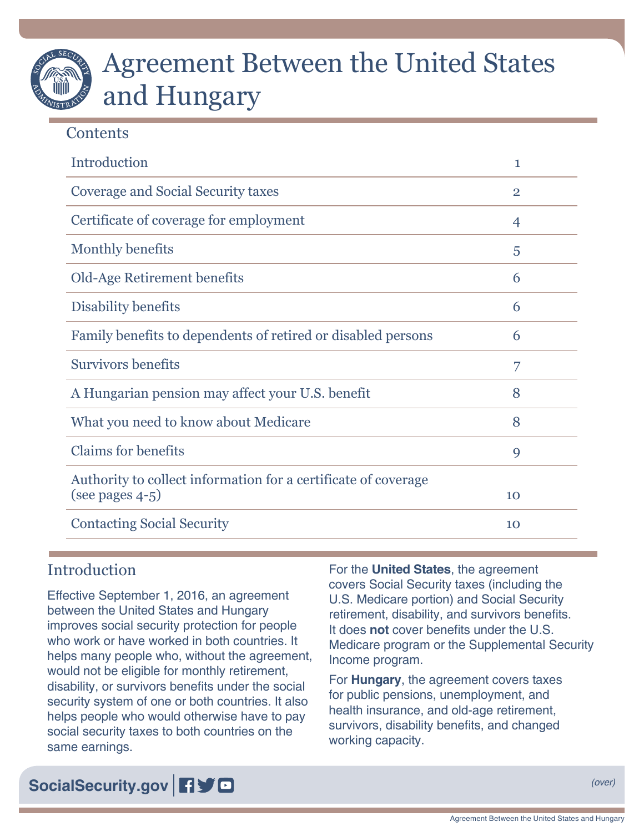# Agreement Between the United States and Hungary

# **Contents**

| Introduction                                                                         | 1              |
|--------------------------------------------------------------------------------------|----------------|
| <b>Coverage and Social Security taxes</b>                                            | $\overline{2}$ |
| Certificate of coverage for employment                                               | 4              |
| Monthly benefits                                                                     | 5              |
| Old-Age Retirement benefits                                                          | 6              |
| Disability benefits                                                                  | 6              |
| Family benefits to dependents of retired or disabled persons                         | 6              |
| <b>Survivors benefits</b>                                                            | 7              |
| A Hungarian pension may affect your U.S. benefit                                     | 8              |
| What you need to know about Medicare                                                 | 8              |
| <b>Claims for benefits</b>                                                           | 9              |
| Authority to collect information for a certificate of coverage<br>(see pages $4-5$ ) | 10             |
| <b>Contacting Social Security</b>                                                    | 10             |

# **Introduction**

Effective September 1, 2016, an agreement between the United States and Hungary improves social security protection for people who work or have worked in both countries. It helps many people who, without the agreement, would not be eligible for monthly retirement, disability, or survivors benefits under the social security system of one or both countries. It also helps people who would otherwise have to pay social security taxes to both countries on the same earnings.

For the **United States**, the agreement covers Social Security taxes (including the U.S. Medicare portion) and Social Security retirement, disability, and survivors benefits. It does **not** cover benefits under the U.S. Medicare program or the Supplemental Security Income program.

For **Hungary**, the agreement covers taxes for public pensions, unemployment, and health insurance, and old-age retirement, survivors, disability benefits, and changed working capacity.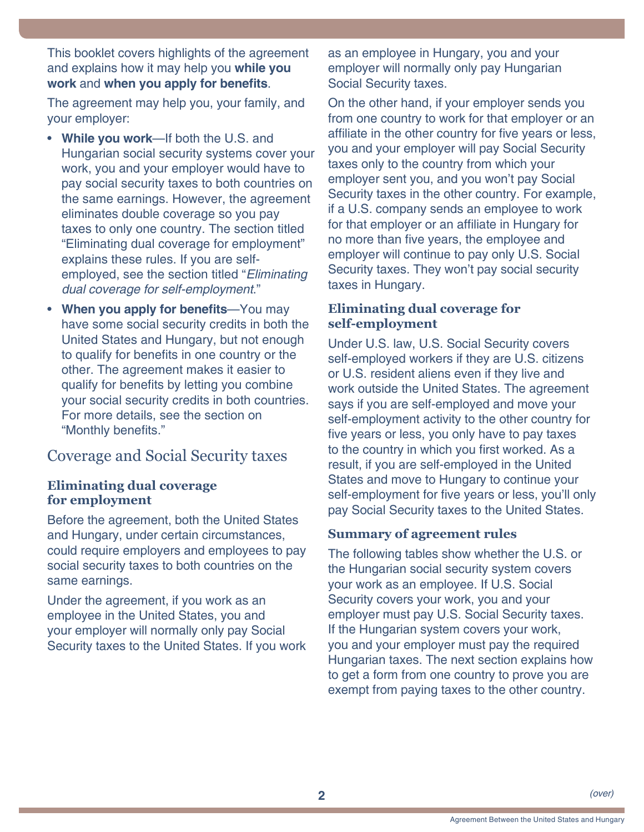<span id="page-1-0"></span>This booklet covers highlights of the agreement and explains how it may help you **while you work** and **when you apply for benefits**.

The agreement may help you, your family, and your employer:

- **While you work**—If both the U.S. and Hungarian social security systems cover your work, you and your employer would have to pay social security taxes to both countries on the same earnings. However, the agreement eliminates double coverage so you pay taxes to only one country. The section titled "Eliminating dual coverage for employment" explains these rules. If you are selfemployed, see the section titled "*Eliminating dual coverage for self-employment*."
- **When you apply for benefits—You may** have some social security credits in both the United States and Hungary, but not enough to qualify for benefits in one country or the other. The agreement makes it easier to qualify for benefits by letting you combine your social security credits in both countries. For more details, see the section on "Monthly benefits."

# Coverage and Social Security taxes

#### **Eliminating dual coverage for employment**

Before the agreement, both the United States and Hungary, under certain circumstances, could require employers and employees to pay social security taxes to both countries on the same earnings.

Under the agreement, if you work as an employee in the United States, you and your employer will normally only pay Social Security taxes to the United States. If you work as an employee in Hungary, you and your employer will normally only pay Hungarian Social Security taxes.

On the other hand, if your employer sends you from one country to work for that employer or an affiliate in the other country for five years or less, you and your employer will pay Social Security taxes only to the country from which your employer sent you, and you won't pay Social Security taxes in the other country. For example, if a U.S. company sends an employee to work for that employer or an affiliate in Hungary for no more than five years, the employee and employer will continue to pay only U.S. Social Security taxes. They won't pay social security taxes in Hungary.

#### **Eliminating dual coverage for self-employment**

Under U.S. law, U.S. Social Security covers self-employed workers if they are U.S. citizens or U.S. resident aliens even if they live and work outside the United States. The agreement says if you are self-employed and move your self-employment activity to the other country for five years or less, you only have to pay taxes to the country in which you first worked. As a result, if you are self-employed in the United States and move to Hungary to continue your self-employment for five years or less, you'll only pay Social Security taxes to the United States.

#### **Summary of agreement rules**

The following tables show whether the U.S. or the Hungarian social security system covers your work as an employee. If U.S. Social Security covers your work, you and your employer must pay U.S. Social Security taxes. If the Hungarian system covers your work, you and your employer must pay the required Hungarian taxes. The next section explains how to get a form from one country to prove you are exempt from paying taxes to the other country.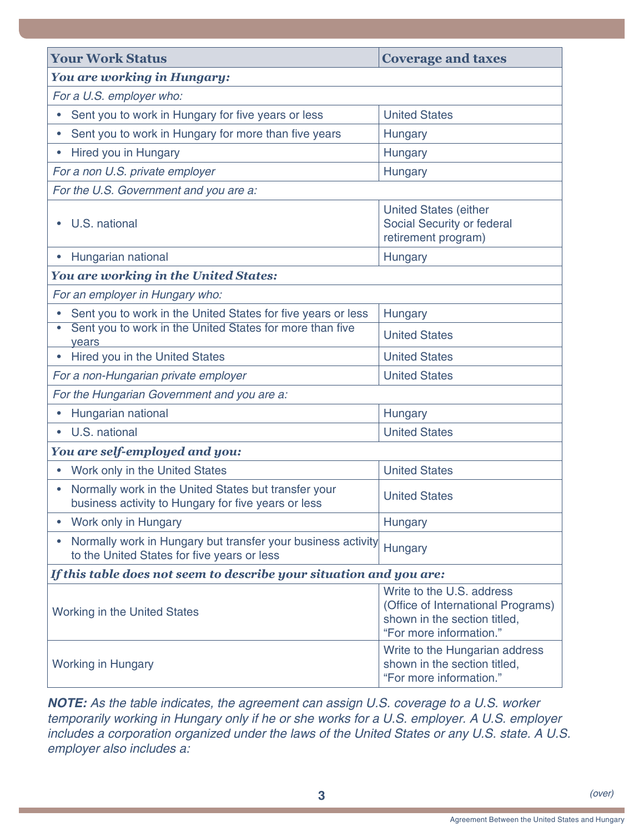<span id="page-2-0"></span>

| <b>Your Work Status</b>                                                                                                                                           | <b>Coverage and taxes</b>                                                                 |  |  |
|-------------------------------------------------------------------------------------------------------------------------------------------------------------------|-------------------------------------------------------------------------------------------|--|--|
| <b>You are working in Hungary:</b>                                                                                                                                |                                                                                           |  |  |
| For a U.S. employer who:                                                                                                                                          |                                                                                           |  |  |
| Sent you to work in Hungary for five years or less                                                                                                                | <b>United States</b>                                                                      |  |  |
| Sent you to work in Hungary for more than five years                                                                                                              | Hungary                                                                                   |  |  |
| Hired you in Hungary                                                                                                                                              | Hungary                                                                                   |  |  |
| For a non U.S. private employer                                                                                                                                   | Hungary                                                                                   |  |  |
| For the U.S. Government and you are a:                                                                                                                            |                                                                                           |  |  |
| U.S. national                                                                                                                                                     | <b>United States (either</b><br>Social Security or federal<br>retirement program)         |  |  |
| Hungarian national<br>$\bullet$                                                                                                                                   | Hungary                                                                                   |  |  |
| <b>You are working in the United States:</b>                                                                                                                      |                                                                                           |  |  |
| For an employer in Hungary who:                                                                                                                                   |                                                                                           |  |  |
| Sent you to work in the United States for five years or less                                                                                                      | Hungary                                                                                   |  |  |
| Sent you to work in the United States for more than five<br>years                                                                                                 | <b>United States</b>                                                                      |  |  |
| Hired you in the United States                                                                                                                                    | <b>United States</b>                                                                      |  |  |
| For a non-Hungarian private employer                                                                                                                              | <b>United States</b>                                                                      |  |  |
| For the Hungarian Government and you are a:                                                                                                                       |                                                                                           |  |  |
| Hungarian national                                                                                                                                                | Hungary                                                                                   |  |  |
| U.S. national<br>$\bullet$                                                                                                                                        | <b>United States</b>                                                                      |  |  |
| You are self-employed and you:                                                                                                                                    |                                                                                           |  |  |
| Work only in the United States                                                                                                                                    | <b>United States</b>                                                                      |  |  |
| Normally work in the United States but transfer your<br>business activity to Hungary for five years or less                                                       | <b>United States</b>                                                                      |  |  |
| Work only in Hungary                                                                                                                                              | Hungary                                                                                   |  |  |
| Normally work in Hungary but transfer your business activity<br>to the United States for five years or less                                                       | Hungary                                                                                   |  |  |
| If this table does not seem to describe your situation and you are:                                                                                               |                                                                                           |  |  |
| Write to the U.S. address<br>(Office of International Programs)<br><b>Working in the United States</b><br>shown in the section titled,<br>"For more information." |                                                                                           |  |  |
| <b>Working in Hungary</b>                                                                                                                                         | Write to the Hungarian address<br>shown in the section titled,<br>"For more information." |  |  |

*NOTE: As the table indicates, the agreement can assign U.S. coverage to a U.S. worker temporarily working in Hungary only if he or she works for a U.S. employer. A U.S. employer includes a corporation organized under the laws of the United States or any U.S. state. A U.S. employer also includes a:*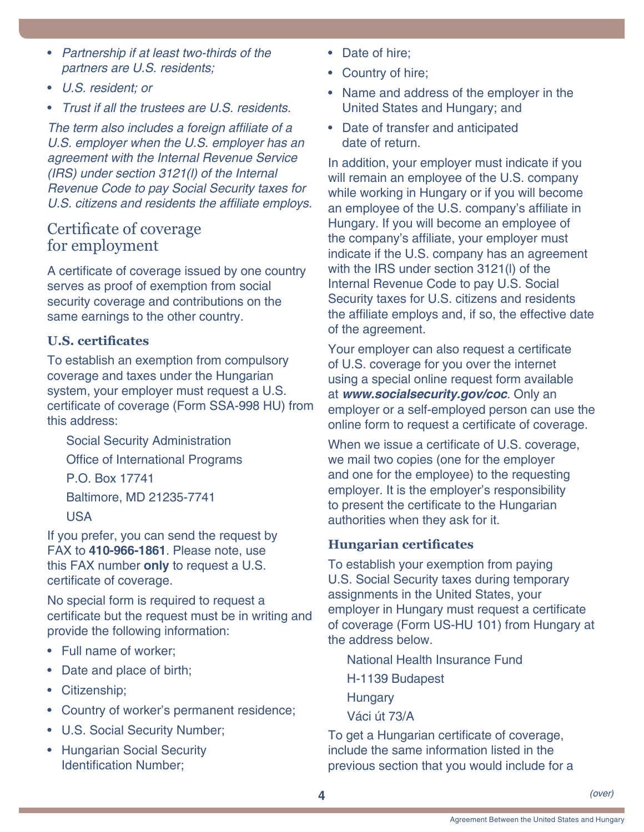- <span id="page-3-0"></span>• *Partnership if at least two-thirds of the partners are U.S. residents;*
- *U.S. resident; or*
- *Trust if all the trustees are U.S. residents.*

The term also includes a foreign affiliate of a *U.S. employer when the U.S. employer has an agreement with the Internal Revenue Service (IRS) under section 3121(l) of the Internal Revenue Code to pay Social Security taxes for*  U.S. citizens and residents the affiliate employs.

## <span id="page-3-1"></span>Certificate of coverage for employment

A certificate of coverage issued by one country serves as proof of exemption from social security coverage and contributions on the same earnings to the other country.

## **U.S. certificates**

To establish an exemption from compulsory coverage and taxes under the Hungarian system, your employer must request a U.S. certificate of coverage (Form SSA-998 HU) from this address:

Social Security Administration Office of International Programs P.O. Box 17741 Baltimore, MD 21235-7741 USA

If you prefer, you can send the request by FAX to **410-966-1861**. Please note, use this FAX number **only** to request a U.S. certificate of coverage.

No special form is required to request a certificate but the request must be in writing and provide the following information:

- Full name of worker;
- Date and place of birth;
- Citizenship;
- Country of worker's permanent residence;
- U.S. Social Security Number;
- Hungarian Social Security Identification Number;
- Date of hire:
- Country of hire;
- Name and address of the employer in the United States and Hungary; and
- Date of transfer and anticipated date of return.

In addition, your employer must indicate if you will remain an employee of the U.S. company while working in Hungary or if you will become an employee of the U.S. company's affiliate in Hungary. If you will become an employee of the company's affiliate, your employer must indicate if the U.S. company has an agreement with the IRS under section 3121(l) of the Internal Revenue Code to pay U.S. Social Security taxes for U.S. citizens and residents the affiliate employs and, if so, the effective date of the agreement.

Your employer can also request a certificate of U.S. coverage for you over the internet using a special online request form available at *[www.socialsecurity.gov/coc](http://www.socialsecurity.gov/coc)*. Only an employer or a self-employed person can use the online form to request a certificate of coverage.

When we issue a certificate of U.S. coverage, we mail two copies (one for the employer and one for the employee) to the requesting employer. It is the employer's responsibility to present the certificate to the Hungarian authorities when they ask for it.

## **Hungarian certificates**

To establish your exemption from paying U.S. Social Security taxes during temporary assignments in the United States, your employer in Hungary must request a certificate of coverage (Form US-HU 101) from Hungary at the address below.

National Health Insurance Fund

H-1139 Budapest

**Hungary** 

Váci út 73/A

To get a Hungarian certificate of coverage, include the same information listed in the previous section that you would include for a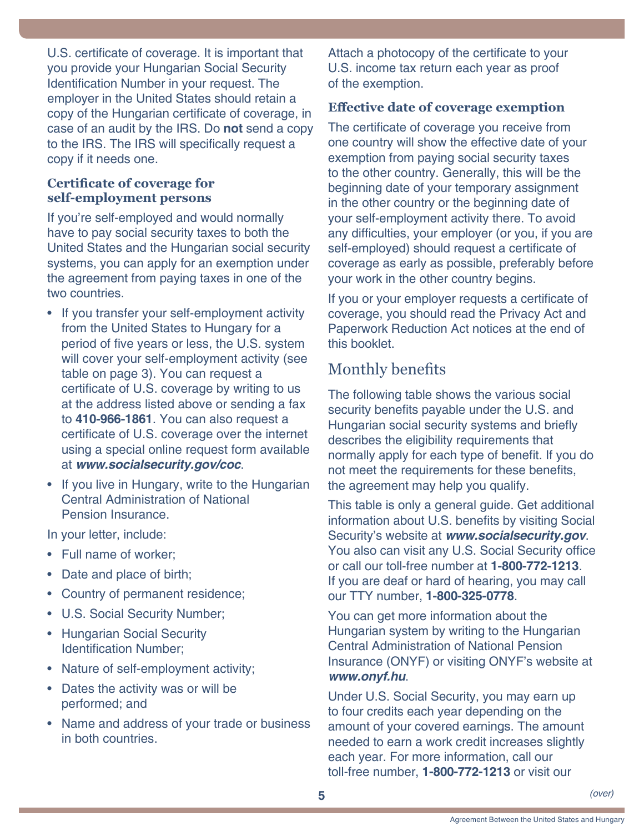<span id="page-4-0"></span>U.S. certificate of coverage. It is important that you provide your Hungarian Social Security Identification Number in your request. The employer in the United States should retain a copy of the Hungarian certificate of coverage, in case of an audit by the IRS. Do **not** send a copy to the IRS. The IRS will specifically request a copy if it needs one.

## **Certificate of coverage for self-employment persons**

If you're self-employed and would normally have to pay social security taxes to both the United States and the Hungarian social security systems, you can apply for an exemption under the agreement from paying taxes in one of the two countries.

- If you transfer your self-employment activity from the United States to Hungary for a period of five years or less, the U.S. system will cover your self-employment activity (see table on [page 3](#page-2-0)). You can request a certificate of U.S. coverage by writing to us at the address listed above or sending a fax to **410-966-1861**. You can also request a certificate of U.S. coverage over the internet using a special online request form available at *[www.socialsecurity.gov/coc](http://www.socialsecurity.gov/coc)*.
- If you live in Hungary, write to the Hungarian Central Administration of National Pension Insurance.

In your letter, include:

- Full name of worker;
- Date and place of birth;
- Country of permanent residence;
- U.S. Social Security Number;
- Hungarian Social Security Identification Number;
- Nature of self-employment activity;
- Dates the activity was or will be performed; and
- Name and address of your trade or business in both countries.

Attach a photocopy of the certificate to your U.S. income tax return each year as proof of the exemption.

## **Effective date of coverage exemption**

The certificate of coverage you receive from one country will show the effective date of your exemption from paying social security taxes to the other country. Generally, this will be the beginning date of your temporary assignment in the other country or the beginning date of your self-employment activity there. To avoid any difficulties, your employer (or you, if you are self-employed) should request a certificate of coverage as early as possible, preferably before your work in the other country begins.

If you or your employer requests a certificate of coverage, you should read the Privacy Act and Paperwork Reduction Act notices at the end of this booklet.

# Monthly benefits

The following table shows the various social security benefits payable under the U.S. and Hungarian social security systems and briefly describes the eligibility requirements that normally apply for each type of benefit. If you do not meet the requirements for these benefits, the agreement may help you qualify.

This table is only a general guide. Get additional information about U.S. benefits by visiting Social Security's website at *[www.socialsecurity.gov](http://www.socialsecurity.gov)*. You also can visit any U.S. Social Security office or call our toll-free number at **1-800-772-1213**. If you are deaf or hard of hearing, you may call our TTY number, **1-800-325-0778**.

You can get more information about the Hungarian system by writing to the Hungarian Central Administration of National Pension Insurance (ONYF) or visiting ONYF's website at *[www.onyf.hu](http://www.onyf.hu)*.

Under U.S. Social Security, you may earn up to four credits each year depending on the amount of your covered earnings. The amount needed to earn a work credit increases slightly each year. For more information, call our toll-free number, **1-800-772-1213** or visit our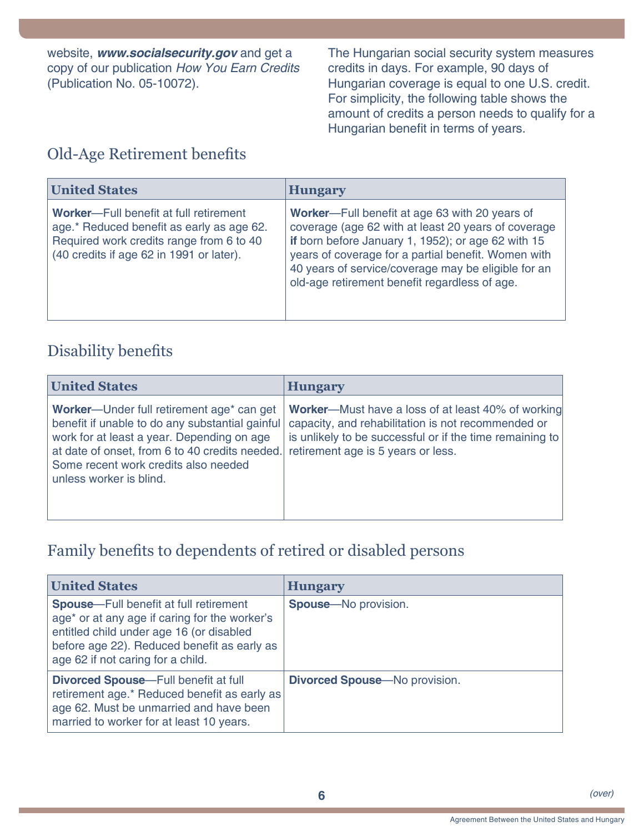<span id="page-5-0"></span>website, *[www.socialsecurity.gov](http://www.socialsecurity.gov)* and get a copy of our publication *[How You Earn Credits](http://www.ssa.gov/pubs/EN-05-10072.pdf)* [\(Publication No. 05-10072\)](http://www.ssa.gov/pubs/EN-05-10072.pdf).

The Hungarian social security system measures credits in days. For example, 90 days of Hungarian coverage is equal to one U.S. credit. For simplicity, the following table shows the amount of credits a person needs to qualify for a Hungarian benefit in terms of years.

# Old-Age Retirement benefits

| <b>United States</b>                                                                                                                                                                 | <b>Hungary</b>                                                                                                                                                                                                                                                                                                             |
|--------------------------------------------------------------------------------------------------------------------------------------------------------------------------------------|----------------------------------------------------------------------------------------------------------------------------------------------------------------------------------------------------------------------------------------------------------------------------------------------------------------------------|
| <b>Worker---Full benefit at full retirement</b><br>age.* Reduced benefit as early as age 62.<br>Required work credits range from 6 to 40<br>(40 credits if age 62 in 1991 or later). | Worker-Full benefit at age 63 with 20 years of<br>coverage (age 62 with at least 20 years of coverage<br>if born before January 1, 1952); or age 62 with 15<br>years of coverage for a partial benefit. Women with<br>40 years of service/coverage may be eligible for an<br>old-age retirement benefit regardless of age. |

# Disability benefits

| <b>United States</b>                                                                                                                                                                                                                                                        | <b>Hungary</b>                                                                                                                                                                                                    |
|-----------------------------------------------------------------------------------------------------------------------------------------------------------------------------------------------------------------------------------------------------------------------------|-------------------------------------------------------------------------------------------------------------------------------------------------------------------------------------------------------------------|
| Worker-Under full retirement age <sup>*</sup> can get<br>benefit if unable to do any substantial gainful<br>work for at least a year. Depending on age<br>at date of onset, from 6 to 40 credits needed.<br>Some recent work credits also needed<br>unless worker is blind. | <b>Worker-Must have a loss of at least 40% of working</b><br>capacity, and rehabilitation is not recommended or<br>is unlikely to be successful or if the time remaining to<br>retirement age is 5 years or less. |

# Family benefits to dependents of retired or disabled persons

| <b>United States</b>                                                                                                                                                                                                            | <b>Hungary</b>                        |
|---------------------------------------------------------------------------------------------------------------------------------------------------------------------------------------------------------------------------------|---------------------------------------|
| <b>Spouse</b> -Full benefit at full retirement<br>age* or at any age if caring for the worker's<br>entitled child under age 16 (or disabled<br>before age 22). Reduced benefit as early as<br>age 62 if not caring for a child. | <b>Spouse</b> —No provision.          |
| <b>Divorced Spouse</b> —Full benefit at full<br>retirement age.* Reduced benefit as early as<br>age 62. Must be unmarried and have been<br>married to worker for at least 10 years.                                             | <b>Divorced Spouse</b> —No provision. |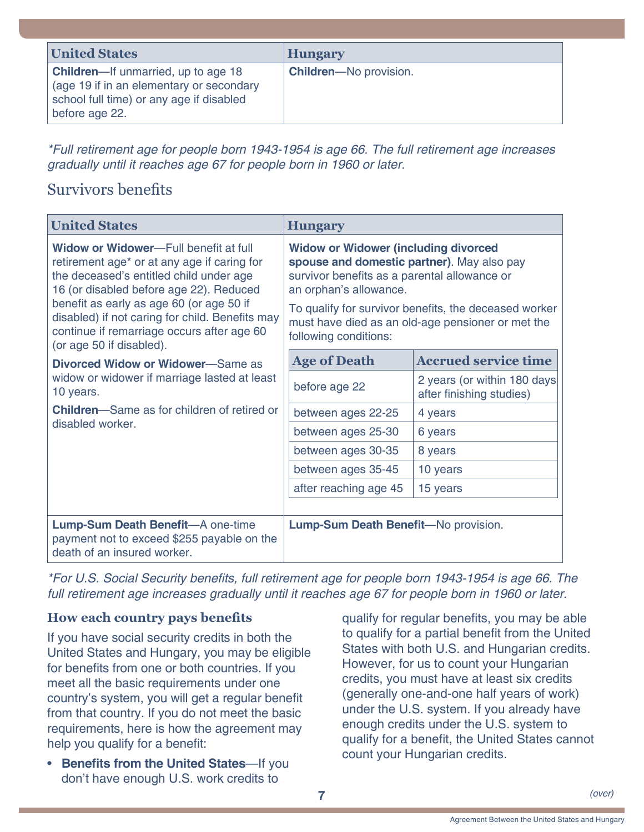<span id="page-6-0"></span>

| <b>United States</b>                                                                                                                                 | <b>Hungary</b>                |
|------------------------------------------------------------------------------------------------------------------------------------------------------|-------------------------------|
| <b>Children-If unmarried, up to age 18</b><br>(age 19 if in an elementary or secondary<br>school full time) or any age if disabled<br>before age 22. | <b>Children-No provision.</b> |

*\*Full retirement age for people born 1943-1954 is age 66. The full retirement age increases gradually until it reaches age 67 for people born in 1960 or later.*

# Survivors benefits

| <b>United States</b>                                                                                                                                                                                                                                                                                                                                            | <b>Hungary</b>                                                                                                                                                                                                                                                                                             |                                                          |
|-----------------------------------------------------------------------------------------------------------------------------------------------------------------------------------------------------------------------------------------------------------------------------------------------------------------------------------------------------------------|------------------------------------------------------------------------------------------------------------------------------------------------------------------------------------------------------------------------------------------------------------------------------------------------------------|----------------------------------------------------------|
| Widow or Widower-Full benefit at full<br>retirement age <sup>*</sup> or at any age if caring for<br>the deceased's entitled child under age<br>16 (or disabled before age 22). Reduced<br>benefit as early as age 60 (or age 50 if<br>disabled) if not caring for child. Benefits may<br>continue if remarriage occurs after age 60<br>(or age 50 if disabled). | <b>Widow or Widower (including divorced</b><br>spouse and domestic partner). May also pay<br>survivor benefits as a parental allowance or<br>an orphan's allowance.<br>To qualify for survivor benefits, the deceased worker<br>must have died as an old-age pensioner or met the<br>following conditions: |                                                          |
| <b>Divorced Widow or Widower–Same as</b><br>widow or widower if marriage lasted at least<br>10 years.<br><b>Children</b> —Same as for children of retired or<br>disabled worker.                                                                                                                                                                                | <b>Age of Death</b>                                                                                                                                                                                                                                                                                        | <b>Accrued service time</b>                              |
|                                                                                                                                                                                                                                                                                                                                                                 | before age 22                                                                                                                                                                                                                                                                                              | 2 years (or within 180 days)<br>after finishing studies) |
|                                                                                                                                                                                                                                                                                                                                                                 | between ages 22-25                                                                                                                                                                                                                                                                                         | 4 years                                                  |
|                                                                                                                                                                                                                                                                                                                                                                 | between ages 25-30                                                                                                                                                                                                                                                                                         | 6 years                                                  |
|                                                                                                                                                                                                                                                                                                                                                                 | between ages 30-35                                                                                                                                                                                                                                                                                         | 8 years                                                  |
|                                                                                                                                                                                                                                                                                                                                                                 | between ages 35-45                                                                                                                                                                                                                                                                                         | 10 years                                                 |
|                                                                                                                                                                                                                                                                                                                                                                 | after reaching age 45                                                                                                                                                                                                                                                                                      | 15 years                                                 |
|                                                                                                                                                                                                                                                                                                                                                                 |                                                                                                                                                                                                                                                                                                            |                                                          |
| <b>Lump-Sum Death Benefit-A one-time</b><br>payment not to exceed \$255 payable on the<br>death of an insured worker.                                                                                                                                                                                                                                           | Lump-Sum Death Benefit-No provision.                                                                                                                                                                                                                                                                       |                                                          |

\*For U.S. Social Security benefits, full retirement age for people born 1943-1954 is age 66. The *full retirement age increases gradually until it reaches age 67 for people born in 1960 or later.*

## **How each country pays benefits**

If you have social security credits in both the United States and Hungary, you may be eligible for benefits from one or both countries. If you meet all the basic requirements under one country's system, you will get a regular benefit from that country. If you do not meet the basic requirements, here is how the agreement may help you qualify for a benefit:

• **Benefits from the United States**—If you don't have enough U.S. work credits to

qualify for regular benefits, you may be able to qualify for a partial benefit from the United States with both U.S. and Hungarian credits. However, for us to count your Hungarian credits, you must have at least six credits (generally one-and-one half years of work) under the U.S. system. If you already have enough credits under the U.S. system to qualify for a benefit, the United States cannot count your Hungarian credits.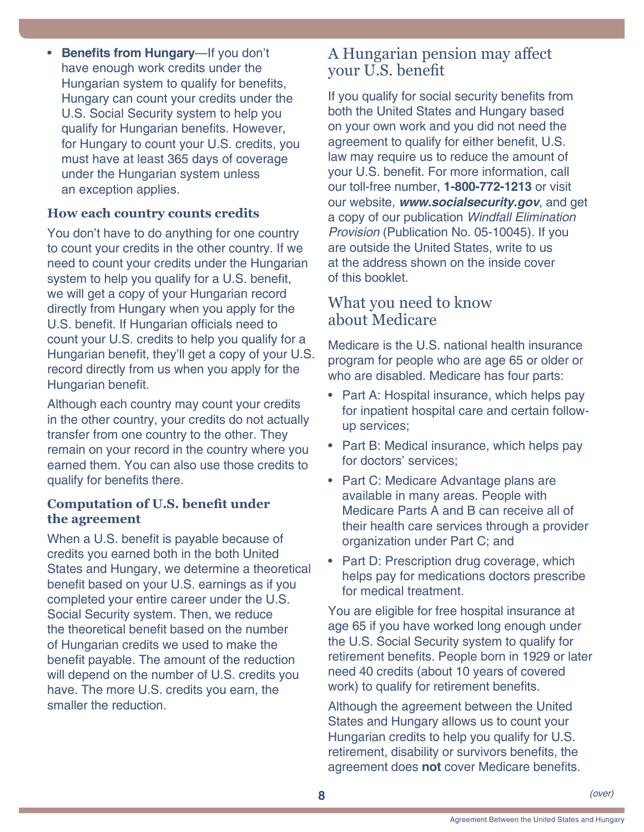<span id="page-7-0"></span>• **Benefits from Hungary**—If you don't have enough work credits under the Hungarian system to qualify for benefits, Hungary can count your credits under the U.S. Social Security system to help you qualify for Hungarian benefits. However, for Hungary to count your U.S. credits, you must have at least 365 days of coverage under the Hungarian system unless an exception applies.

## **How each country counts credits**

You don't have to do anything for one country to count your credits in the other country. If we need to count your credits under the Hungarian system to help you qualify for a U.S. benefit, we will get a copy of your Hungarian record directly from Hungary when you apply for the U.S. benefit. If Hungarian officials need to count your U.S. credits to help you qualify for a Hungarian benefit, they'll get a copy of your U.S. record directly from us when you apply for the Hungarian benefit.

Although each country may count your credits in the other country, your credits do not actually transfer from one country to the other. They remain on your record in the country where you earned them. You can also use those credits to qualify for benefits there.

#### **Computation of U.S. benefit under the agreement**

When a U.S. benefit is payable because of credits you earned both in the both United States and Hungary, we determine a theoretical benefit based on your U.S. earnings as if you completed your entire career under the U.S. Social Security system. Then, we reduce the theoretical benefit based on the number of Hungarian credits we used to make the benefit payable. The amount of the reduction will depend on the number of U.S. credits you have. The more U.S. credits you earn, the smaller the reduction.

## A Hungarian pension may affect your U.S. benefit

If you qualify for social security benefits from both the United States and Hungary based on your own work and you did not need the agreement to qualify for either benefit, U.S. law may require us to reduce the amount of your U.S. benefit. For more information, call our toll-free number, **1-800-772-1213** or visit our website, *[www.socialsecurity.gov](http://www.socialsecurity.gov)*, and get a copy of our publication *[Windfall Elimination](http://www.ssa.gov/pubs/EN-05-10045.pdf)  Provision* [\(Publication No. 05-10045\)](http://www.ssa.gov/pubs/EN-05-10045.pdf). If you are outside the United States, write to us at the address shown on the inside cover of this booklet.

# What you need to know about Medicare

Medicare is the U.S. national health insurance program for people who are age 65 or older or who are disabled. Medicare has four parts:

- Part A: Hospital insurance, which helps pay for inpatient hospital care and certain followup services;
- Part B: Medical insurance, which helps pay for doctors' services;
- Part C: Medicare Advantage plans are available in many areas. People with Medicare Parts A and B can receive all of their health care services through a provider organization under Part C; and
- Part D: Prescription drug coverage, which helps pay for medications doctors prescribe for medical treatment.

You are eligible for free hospital insurance at age 65 if you have worked long enough under the U.S. Social Security system to qualify for retirement benefits. People born in 1929 or later need 40 credits (about 10 years of covered work) to qualify for retirement benefits.

Although the agreement between the United States and Hungary allows us to count your Hungarian credits to help you qualify for U.S. retirement, disability or survivors benefits, the agreement does **not** cover Medicare benefits.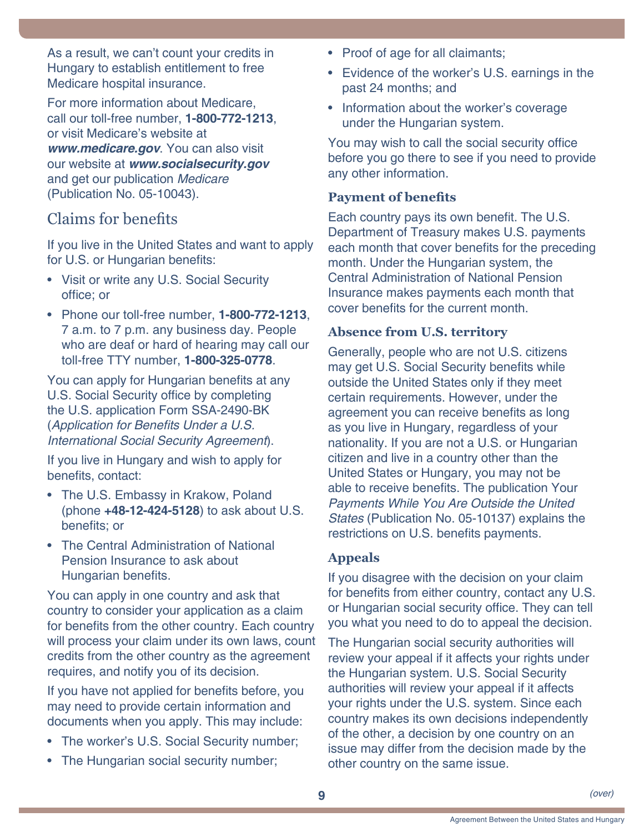<span id="page-8-0"></span>As a result, we can't count your credits in Hungary to establish entitlement to free Medicare hospital insurance.

For more information about Medicare, call our toll-free number, **1-800-772-1213**, or visit Medicare's website at *[www.medicare.gov](http://www.medicare.gov)*. You can also visit our website at *[www.socialsecurity.gov](http://www.socialsecurity.gov)* and get our publication *[Medicare](http://www.ssa.gov/EN-05-10043.pdf)* [\(Publication No. 05-10043\)](http://www.ssa.gov/EN-05-10043.pdf).

# Claims for benefits

If you live in the United States and want to apply for U.S. or Hungarian benefits:

- Visit or write any U.S. Social Security office; or
- Phone our toll-free number, **1-800-772-1213**, 7 a.m. to 7 p.m. any business day. People who are deaf or hard of hearing may call our toll-free TTY number, **1-800-325-0778**.

You can apply for Hungarian benefits at any U.S. Social Security office by completing the U.S. application Form SSA-2490-BK (Application for Benefits Under a U.S. *International Social Security Agreement*).

If you live in Hungary and wish to apply for benefits, contact:

- The U.S. Embassy in Krakow, Poland (phone **+48-12-424-5128**) to ask about U.S. benefits; or
- The Central Administration of National Pension Insurance to ask about Hungarian benefits.

You can apply in one country and ask that country to consider your application as a claim for benefits from the other country. Each country will process your claim under its own laws, count credits from the other country as the agreement requires, and notify you of its decision.

If you have not applied for benefits before, you may need to provide certain information and documents when you apply. This may include:

- The worker's U.S. Social Security number;
- The Hungarian social security number;
- Proof of age for all claimants;
- Evidence of the worker's U.S. earnings in the past 24 months; and
- Information about the worker's coverage under the Hungarian system.

You may wish to call the social security office before you go there to see if you need to provide any other information.

## **Payment of benefits**

Each country pays its own benefit. The U.S. Department of Treasury makes U.S. payments each month that cover benefits for the preceding month. Under the Hungarian system, the Central Administration of National Pension Insurance makes payments each month that cover benefits for the current month.

#### **Absence from U.S. territory**

Generally, people who are not U.S. citizens may get U.S. Social Security benefits while outside the United States only if they meet certain requirements. However, under the agreement you can receive benefits as long as you live in Hungary, regardless of your nationality. If you are not a U.S. or Hungarian citizen and live in a country other than the United States or Hungary, you may not be able to receive benefits. The publication [Your](http://www.ssa.gov/pubs/EN-05-10137.pdf)  *[Payments While You Are Outside the United](http://www.ssa.gov/pubs/EN-05-10137.pdf)  States* [\(Publication No. 05-10137\)](http://www.ssa.gov/pubs/EN-05-10137.pdf) explains the restrictions on U.S. benefits payments.

## **Appeals**

If you disagree with the decision on your claim for benefits from either country, contact any U.S. or Hungarian social security office. They can tell you what you need to do to appeal the decision.

The Hungarian social security authorities will review your appeal if it affects your rights under the Hungarian system. U.S. Social Security authorities will review your appeal if it affects your rights under the U.S. system. Since each country makes its own decisions independently of the other, a decision by one country on an issue may differ from the decision made by the other country on the same issue.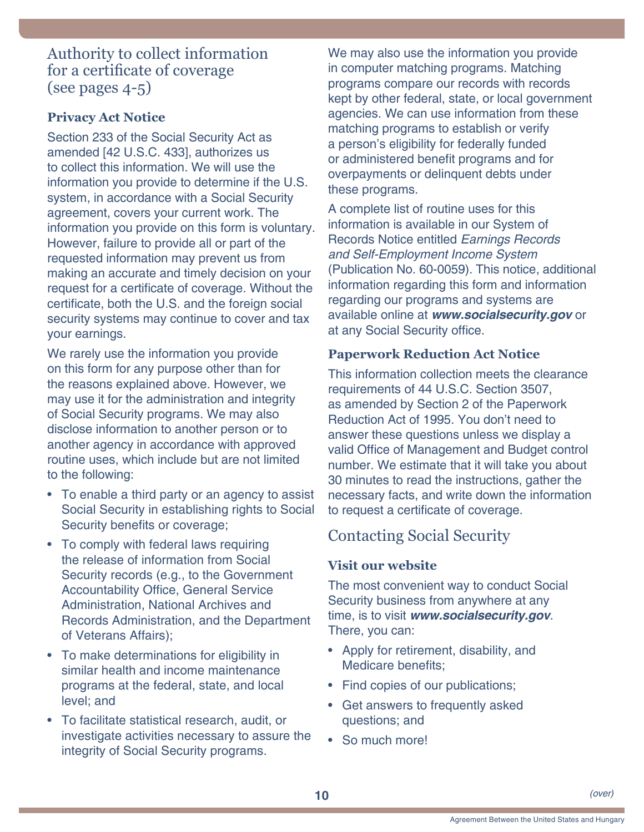## <span id="page-9-0"></span>Authority to collect information for a certificate of coverage (see [pages 4-](#page-3-1)5)

## **Privacy Act Notice**

Section 233 of the Social Security Act as amended [42 U.S.C. 433], authorizes us to collect this information. We will use the information you provide to determine if the U.S. system, in accordance with a Social Security agreement, covers your current work. The information you provide on this form is voluntary. However, failure to provide all or part of the requested information may prevent us from making an accurate and timely decision on your request for a certificate of coverage. Without the certificate, both the U.S. and the foreign social security systems may continue to cover and tax your earnings.

We rarely use the information you provide on this form for any purpose other than for the reasons explained above. However, we may use it for the administration and integrity of Social Security programs. We may also disclose information to another person or to another agency in accordance with approved routine uses, which include but are not limited to the following:

- To enable a third party or an agency to assist Social Security in establishing rights to Social Security benefits or coverage;
- To comply with federal laws requiring the release of information from Social Security records (e.g., to the Government Accountability Office, General Service Administration, National Archives and Records Administration, and the Department of Veterans Affairs);
- To make determinations for eligibility in similar health and income maintenance programs at the federal, state, and local level; and
- To facilitate statistical research, audit, or investigate activities necessary to assure the integrity of Social Security programs.

We may also use the information you provide in computer matching programs. Matching programs compare our records with records kept by other federal, state, or local government agencies. We can use information from these matching programs to establish or verify a person's eligibility for federally funded or administered benefit programs and for overpayments or delinquent debts under these programs.

A complete list of routine uses for this information is available in our System of Records Notice entitled *[Earnings Records](http://www.ssa.gov/foia/bluebook/60-0059.htm)  [and Self-Employment Income System](http://www.ssa.gov/foia/bluebook/60-0059.htm)* [\(Publication No. 60-0059](http://www.ssa.gov/foia/bluebook/60-0059.htm)). This notice, additional information regarding this form and information regarding our programs and systems are available online at *[www.socialsecurity.gov](http://www.socialsecurity.gov)* or at any Social Security office.

#### **Paperwork Reduction Act Notice**

This information collection meets the clearance requirements of 44 U.S.C. Section 3507, as amended by Section 2 of the Paperwork Reduction Act of 1995. You don't need to answer these questions unless we display a valid Office of Management and Budget control number. We estimate that it will take you about 30 minutes to read the instructions, gather the necessary facts, and write down the information to request a certificate of coverage.

# Contacting Social Security

#### **Visit our website**

The most convenient way to conduct Social Security business from anywhere at any time, is to visit *[www.socialsecurity.gov](http://www.socialsecurity.gov)*. There, you can:

- [Apply for retirement, disability, and](http://www.socialsecurity.gov/applyforbenefits)  [Medicare benefits;](http://www.socialsecurity.gov/applyforbenefits)
- [Find copies of our publications;](https://www.ssa.gov/pubs/)
- [Get answers to frequently asked](https://faq.ssa.gov/)  [questions;](https://faq.ssa.gov/) and
- So much more!